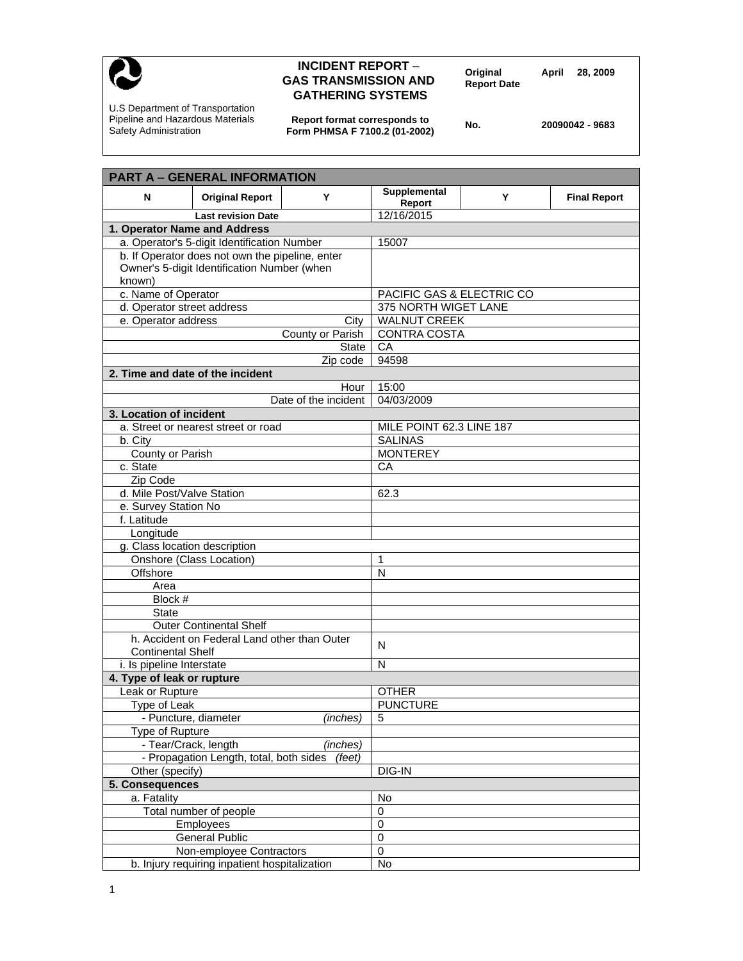

## **INCIDENT REPORT** – **Original April 28, 2009 GAS TRANSMISSION AND Report Date GATHERING SYSTEMS**

U.S Department of Transportation Pipeline and Hazardous Materials Safety Administration

**Report format corresponds to Form PHMSA F 7100.2 (01-2002) No. 20090042 - 9683** 

| <b>PART A - GENERAL INFORMATION</b>                                            |                                                           |  |  |
|--------------------------------------------------------------------------------|-----------------------------------------------------------|--|--|
| <b>Original Report</b><br>Y<br>N                                               | Supplemental<br>Y<br><b>Final Report</b><br><b>Report</b> |  |  |
| <b>Last revision Date</b>                                                      | 12/16/2015                                                |  |  |
| 1. Operator Name and Address                                                   |                                                           |  |  |
| a. Operator's 5-digit Identification Number                                    | 15007                                                     |  |  |
| b. If Operator does not own the pipeline, enter                                |                                                           |  |  |
| Owner's 5-digit Identification Number (when                                    |                                                           |  |  |
| known)                                                                         |                                                           |  |  |
| c. Name of Operator                                                            | PACIFIC GAS & ELECTRIC CO                                 |  |  |
| d. Operator street address                                                     | 375 NORTH WIGET LANE                                      |  |  |
| e. Operator address<br>City                                                    | <b>WALNUT CREEK</b>                                       |  |  |
| County or Parish                                                               | <b>CONTRA COSTA</b>                                       |  |  |
| State                                                                          | CA                                                        |  |  |
| Zip code                                                                       | 94598                                                     |  |  |
| 2. Time and date of the incident                                               |                                                           |  |  |
| Hour                                                                           | 15:00                                                     |  |  |
| Date of the incident                                                           | 04/03/2009                                                |  |  |
| 3. Location of incident                                                        |                                                           |  |  |
| a. Street or nearest street or road                                            | MILE POINT 62.3 LINE 187                                  |  |  |
| b. City                                                                        | <b>SALINAS</b>                                            |  |  |
| County or Parish                                                               | <b>MONTEREY</b>                                           |  |  |
| c. State                                                                       | CA                                                        |  |  |
| Zip Code                                                                       |                                                           |  |  |
| d. Mile Post/Valve Station                                                     | 62.3                                                      |  |  |
| e. Survey Station No                                                           |                                                           |  |  |
| f. Latitude                                                                    |                                                           |  |  |
| Longitude                                                                      |                                                           |  |  |
| g. Class location description                                                  |                                                           |  |  |
| Onshore (Class Location)<br>Offshore                                           | 1<br>N                                                    |  |  |
| Area                                                                           |                                                           |  |  |
| Block #                                                                        |                                                           |  |  |
| <b>State</b>                                                                   |                                                           |  |  |
|                                                                                |                                                           |  |  |
| <b>Outer Continental Shelf</b><br>h. Accident on Federal Land other than Outer |                                                           |  |  |
| <b>Continental Shelf</b>                                                       | N                                                         |  |  |
| i. Is pipeline Interstate                                                      | N                                                         |  |  |
| 4. Type of leak or rupture                                                     |                                                           |  |  |
| Leak or Rupture                                                                | <b>OTHER</b>                                              |  |  |
| Type of Leak                                                                   | <b>PUNCTURE</b>                                           |  |  |
| - Puncture, diameter<br>(inches)                                               | 5                                                         |  |  |
| Type of Rupture                                                                |                                                           |  |  |
| - Tear/Crack, length<br>(inches)                                               |                                                           |  |  |
| - Propagation Length, total, both sides<br>(feet)                              |                                                           |  |  |
| Other (specify)                                                                | DIG-IN                                                    |  |  |
| 5. Consequences                                                                |                                                           |  |  |
| a. Fatality                                                                    | No                                                        |  |  |
| Total number of people                                                         | 0                                                         |  |  |
| Employees                                                                      | $\pmb{0}$                                                 |  |  |
| <b>General Public</b>                                                          | $\mathsf 0$                                               |  |  |
| Non-employee Contractors                                                       | $\mathbf 0$                                               |  |  |
| b. Injury requiring inpatient hospitalization                                  | No                                                        |  |  |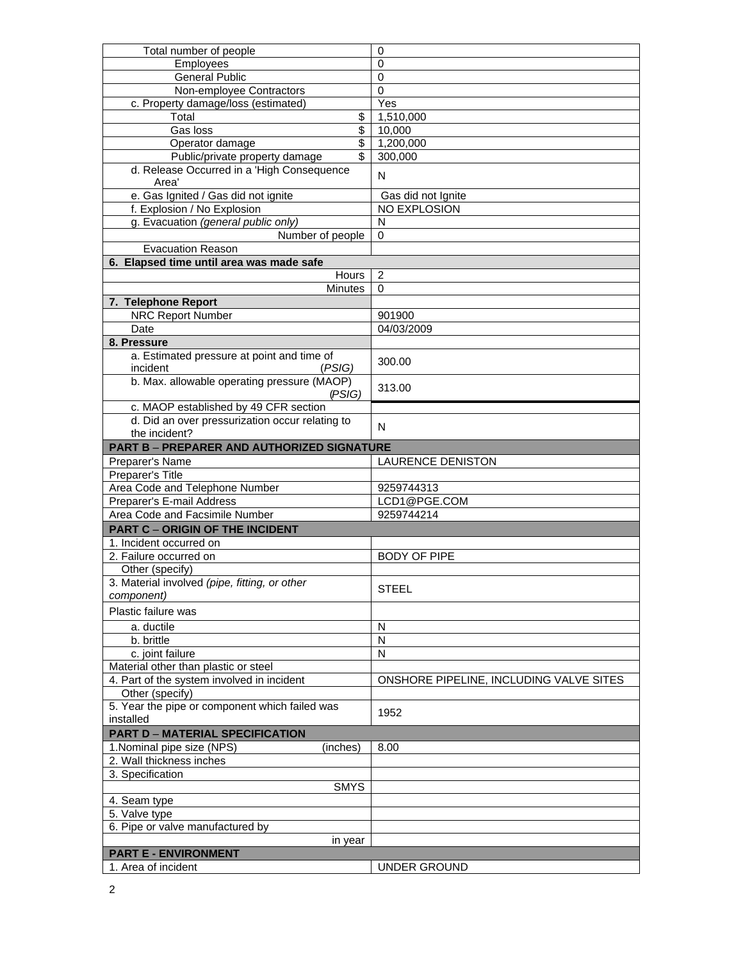| Total number of people                            | 0                                       |
|---------------------------------------------------|-----------------------------------------|
| Employees                                         | $\mathbf 0$                             |
| <b>General Public</b>                             | $\mathbf 0$                             |
| Non-employee Contractors                          | 0                                       |
| c. Property damage/loss (estimated)               | Yes                                     |
| \$<br>Total                                       | 1,510,000                               |
| \$<br>Gas loss                                    | 10,000                                  |
| $\overline{\mathcal{S}}$<br>Operator damage       | 1,200,000                               |
| Public/private property damage<br>\$              | 300,000                                 |
| d. Release Occurred in a 'High Consequence        |                                         |
| Area'                                             | N                                       |
| e. Gas Ignited / Gas did not ignite               | Gas did not Ignite                      |
| f. Explosion / No Explosion                       | NO EXPLOSION                            |
| g. Evacuation (general public only)               | N                                       |
| Number of people                                  | 0                                       |
| <b>Evacuation Reason</b>                          |                                         |
|                                                   |                                         |
| 6. Elapsed time until area was made safe          |                                         |
| Hours                                             | $\overline{2}$                          |
| <b>Minutes</b>                                    | $\Omega$                                |
| 7. Telephone Report                               |                                         |
| <b>NRC Report Number</b>                          | 901900                                  |
| Date                                              | 04/03/2009                              |
| 8. Pressure                                       |                                         |
| a. Estimated pressure at point and time of        | 300.00                                  |
| incident<br>(PSIG)                                |                                         |
| b. Max. allowable operating pressure (MAOP)       |                                         |
| (PSIG)                                            | 313.00                                  |
| c. MAOP established by 49 CFR section             |                                         |
| d. Did an over pressurization occur relating to   |                                         |
| the incident?                                     | N                                       |
| <b>PART B - PREPARER AND AUTHORIZED SIGNATURE</b> |                                         |
| Preparer's Name                                   | <b>LAURENCE DENISTON</b>                |
| Preparer's Title                                  |                                         |
| Area Code and Telephone Number                    | 9259744313                              |
| Preparer's E-mail Address                         | LCD1@PGE.COM                            |
| Area Code and Facsimile Number                    | 9259744214                              |
|                                                   |                                         |
| <b>PART C - ORIGIN OF THE INCIDENT</b>            |                                         |
| 1. Incident occurred on                           |                                         |
| 2. Failure occurred on                            | <b>BODY OF PIPE</b>                     |
| Other (specify)                                   |                                         |
| 3. Material involved (pipe, fitting, or other     | <b>STEEL</b>                            |
| component)                                        |                                         |
| Plastic failure was                               |                                         |
| a. ductile                                        | N                                       |
| b. brittle                                        | N                                       |
|                                                   | $\mathsf{N}$                            |
| c. joint failure                                  |                                         |
| Material other than plastic or steel              |                                         |
| 4. Part of the system involved in incident        | ONSHORE PIPELINE, INCLUDING VALVE SITES |
| Other (specify)                                   |                                         |
| 5. Year the pipe or component which failed was    | 1952                                    |
| installed                                         |                                         |
| <b>PART D - MATERIAL SPECIFICATION</b>            |                                         |
| 1. Nominal pipe size (NPS)<br>(inches)            | 8.00                                    |
| 2. Wall thickness inches                          |                                         |
| 3. Specification                                  |                                         |
| <b>SMYS</b>                                       |                                         |
| 4. Seam type                                      |                                         |
| 5. Valve type                                     |                                         |
| 6. Pipe or valve manufactured by                  |                                         |
| in year                                           |                                         |
| <b>PART E - ENVIRONMENT</b>                       |                                         |
| 1. Area of incident                               | UNDER GROUND                            |
|                                                   |                                         |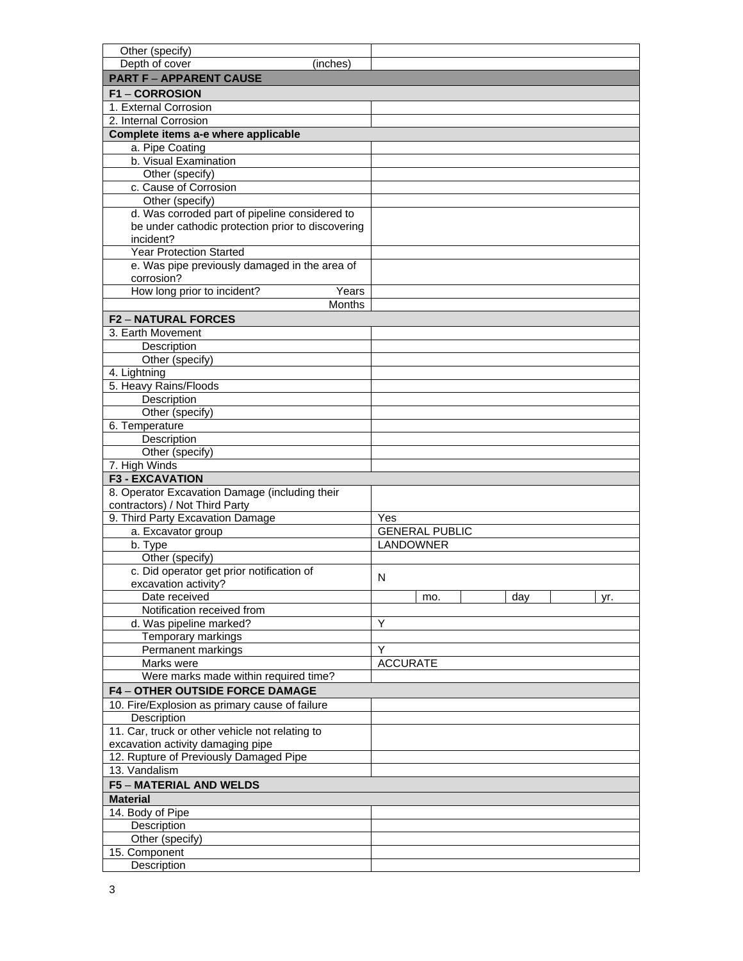| Other (specify)                                   |                       |
|---------------------------------------------------|-----------------------|
| Depth of cover<br>(inches)                        |                       |
| <b>PART F - APPARENT CAUSE</b>                    |                       |
| <b>F1-CORROSION</b>                               |                       |
| 1. External Corrosion                             |                       |
| 2. Internal Corrosion                             |                       |
| Complete items a-e where applicable               |                       |
| a. Pipe Coating                                   |                       |
| b. Visual Examination                             |                       |
| Other (specify)                                   |                       |
| c. Cause of Corrosion                             |                       |
| Other (specify)                                   |                       |
| d. Was corroded part of pipeline considered to    |                       |
| be under cathodic protection prior to discovering |                       |
| incident?                                         |                       |
| <b>Year Protection Started</b>                    |                       |
| e. Was pipe previously damaged in the area of     |                       |
| corrosion?                                        |                       |
| How long prior to incident?<br>Years              |                       |
| <b>Months</b>                                     |                       |
| <b>F2-NATURAL FORCES</b>                          |                       |
| 3. Earth Movement                                 |                       |
| Description                                       |                       |
| Other (specify)                                   |                       |
| 4. Lightning                                      |                       |
| 5. Heavy Rains/Floods                             |                       |
| Description                                       |                       |
| Other (specify)                                   |                       |
| 6. Temperature                                    |                       |
| Description                                       |                       |
| Other (specify)                                   |                       |
| 7. High Winds                                     |                       |
| <b>F3 - EXCAVATION</b>                            |                       |
| 8. Operator Excavation Damage (including their    |                       |
| contractors) / Not Third Party                    |                       |
| 9. Third Party Excavation Damage                  | Yes                   |
| a. Excavator group                                | <b>GENERAL PUBLIC</b> |
| b. Type                                           | LANDOWNER             |
| Other (specify)                                   |                       |
| c. Did operator get prior notification of         |                       |
| excavation activity?                              |                       |
|                                                   | N                     |
| Date received                                     | day<br>mo.<br>yr.     |
| Notification received from                        |                       |
| d. Was pipeline marked?                           | Y                     |
| Temporary markings                                |                       |
| Permanent markings                                | Y                     |
| Marks were                                        | <b>ACCURATE</b>       |
| Were marks made within required time?             |                       |
| <b>F4-OTHER OUTSIDE FORCE DAMAGE</b>              |                       |
| 10. Fire/Explosion as primary cause of failure    |                       |
| Description                                       |                       |
| 11. Car, truck or other vehicle not relating to   |                       |
| excavation activity damaging pipe                 |                       |
| 12. Rupture of Previously Damaged Pipe            |                       |
| 13. Vandalism                                     |                       |
| <b>F5 - MATERIAL AND WELDS</b>                    |                       |
| <b>Material</b>                                   |                       |
| 14. Body of Pipe                                  |                       |
| Description                                       |                       |
| Other (specify)                                   |                       |
| 15. Component                                     |                       |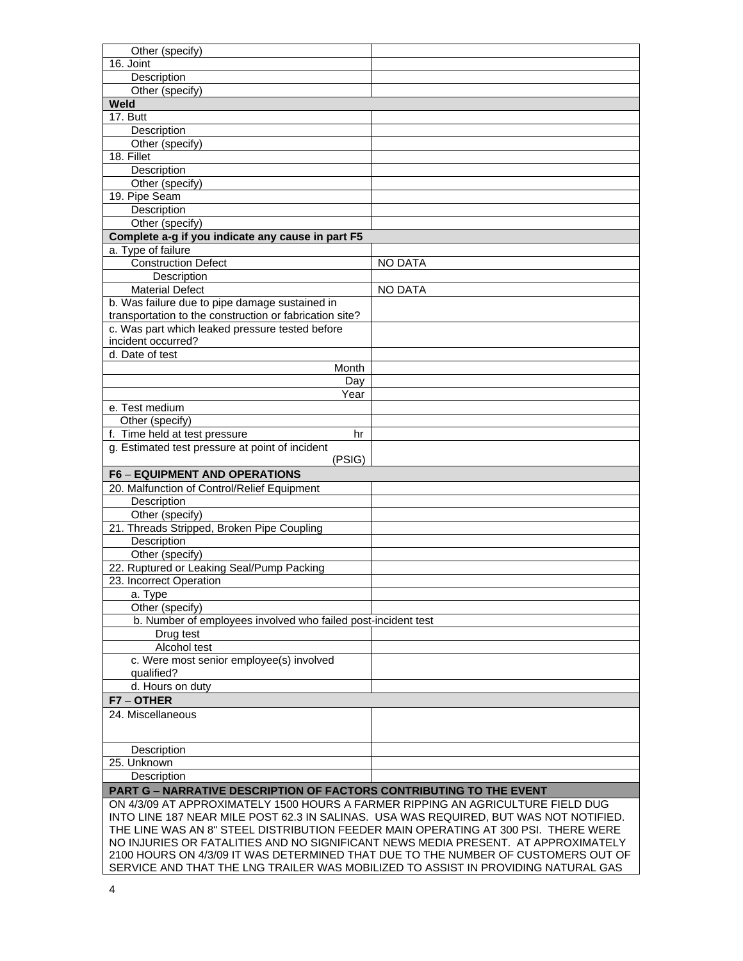| Other (specify)                                                                                                                                                             |                |  |
|-----------------------------------------------------------------------------------------------------------------------------------------------------------------------------|----------------|--|
| 16. Joint                                                                                                                                                                   |                |  |
| Description                                                                                                                                                                 |                |  |
| Other (specify)                                                                                                                                                             |                |  |
| Weld                                                                                                                                                                        |                |  |
| 17. Butt                                                                                                                                                                    |                |  |
| Description                                                                                                                                                                 |                |  |
| Other (specify)                                                                                                                                                             |                |  |
| 18. Fillet                                                                                                                                                                  |                |  |
| Description                                                                                                                                                                 |                |  |
| Other (specify)                                                                                                                                                             |                |  |
| 19. Pipe Seam                                                                                                                                                               |                |  |
| Description                                                                                                                                                                 |                |  |
| Other (specify)                                                                                                                                                             |                |  |
| Complete a-g if you indicate any cause in part F5                                                                                                                           |                |  |
| a. Type of failure                                                                                                                                                          |                |  |
| <b>Construction Defect</b>                                                                                                                                                  | <b>NO DATA</b> |  |
| Description                                                                                                                                                                 |                |  |
| <b>Material Defect</b>                                                                                                                                                      | <b>NO DATA</b> |  |
| b. Was failure due to pipe damage sustained in                                                                                                                              |                |  |
| transportation to the construction or fabrication site?                                                                                                                     |                |  |
| c. Was part which leaked pressure tested before                                                                                                                             |                |  |
| incident occurred?                                                                                                                                                          |                |  |
| d. Date of test                                                                                                                                                             |                |  |
| Month                                                                                                                                                                       |                |  |
| Day                                                                                                                                                                         |                |  |
| Year                                                                                                                                                                        |                |  |
| e. Test medium                                                                                                                                                              |                |  |
| Other (specify)                                                                                                                                                             |                |  |
| f. Time held at test pressure<br>hr                                                                                                                                         |                |  |
| g. Estimated test pressure at point of incident                                                                                                                             |                |  |
| (PSIG)                                                                                                                                                                      |                |  |
| <b>F6 - EQUIPMENT AND OPERATIONS</b>                                                                                                                                        |                |  |
| 20. Malfunction of Control/Relief Equipment                                                                                                                                 |                |  |
| Description                                                                                                                                                                 |                |  |
| Other (specify)                                                                                                                                                             |                |  |
| 21. Threads Stripped, Broken Pipe Coupling                                                                                                                                  |                |  |
| Description                                                                                                                                                                 |                |  |
| Other (specify)                                                                                                                                                             |                |  |
| 22. Ruptured or Leaking Seal/Pump Packing                                                                                                                                   |                |  |
| 23. Incorrect Operation                                                                                                                                                     |                |  |
| a. Type                                                                                                                                                                     |                |  |
| Other (specify)                                                                                                                                                             |                |  |
| b. Number of employees involved who failed post-incident test                                                                                                               |                |  |
| Drug test                                                                                                                                                                   |                |  |
| Alcohol test                                                                                                                                                                |                |  |
| c. Were most senior employee(s) involved                                                                                                                                    |                |  |
| qualified?                                                                                                                                                                  |                |  |
| d. Hours on duty                                                                                                                                                            |                |  |
| F7-OTHER                                                                                                                                                                    |                |  |
| 24. Miscellaneous                                                                                                                                                           |                |  |
|                                                                                                                                                                             |                |  |
|                                                                                                                                                                             |                |  |
| Description                                                                                                                                                                 |                |  |
| 25. Unknown<br>Description                                                                                                                                                  |                |  |
|                                                                                                                                                                             |                |  |
| <b>PART G - NARRATIVE DESCRIPTION OF FACTORS CONTRIBUTING TO THE EVENT</b>                                                                                                  |                |  |
| ON 4/3/09 AT APPROXIMATELY 1500 HOURS A FARMER RIPPING AN AGRICULTURE FIELD DUG                                                                                             |                |  |
| INTO LINE 187 NEAR MILE POST 62.3 IN SALINAS. USA WAS REQUIRED, BUT WAS NOT NOTIFIED.<br>THE LINE WAS AN 8" STEEL DISTRIBUTION FEEDER MAIN OPERATING AT 300 PSI. THERE WERE |                |  |
| NO INJURIES OR FATALITIES AND NO SIGNIFICANT NEWS MEDIA PRESENT. AT APPROXIMATELY                                                                                           |                |  |
| 2100 HOURS ON 4/3/09 IT WAS DETERMINED THAT DUE TO THE NUMBER OF CUSTOMERS OUT OF                                                                                           |                |  |
| SERVICE AND THAT THE LNG TRAILER WAS MOBILIZED TO ASSIST IN PROVIDING NATURAL GAS                                                                                           |                |  |
|                                                                                                                                                                             |                |  |